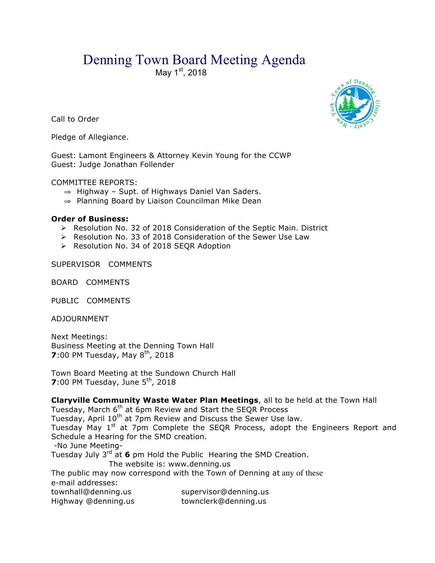# Denning Town Board Meeting Agenda

May 1<sup>st</sup>, 2018

Call to Order

Pledge of Allegiance.

Guest: Lamont Engineers & Attorney Kevin Young for the CCWP Guest: Judge Jonathan Follender

COMMITTEE REPORTS:

- ⇒ Highway Supt. of Highways Daniel Van Saders.
- ⇒ Planning Board by Liaison Councilman Mike Dean

# **Order of Business:**

- $\triangleright$  Resolution No. 32 of 2018 Consideration of the Septic Main. District
- > Resolution No. 33 of 2018 Consideration of the Sewer Use Law
- > Resolution No. 34 of 2018 SEQR Adoption

SUPERVISOR COMMENTS

BOARD COMMENTS

PUBLIC COMMENTS

ADJOURNMENT

Next Meetings: Business Meeting at the Denning Town Hall **7**:00 PM Tuesday, May 8<sup>th</sup>, 2018

Town Board Meeting at the Sundown Church Hall **7**:00 PM Tuesday, June 5<sup>th</sup>, 2018

**Claryville Community Waste Water Plan Meetings**, all to be held at the Town Hall Tuesday, March 6th at 6pm Review and Start the SEQR Process Tuesday, April 10<sup>th</sup> at 7pm Review and Discuss the Sewer Use law. Tuesday May 1<sup>st</sup> at 7pm Complete the SEQR Process, adopt the Engineers Report and Schedule a Hearing for the SMD creation. -No June Meeting-Tuesday July 3rd at **6** pm Hold the Public Hearing the SMD Creation. The website is: www.denning.us The public may now correspond with the Town of Denning at any of these e-mail addresses: townhall@denning.us supervisor@denning.us Highway @denning.us townclerk@denning.us

 $fD_{e<sub>b</sub>}$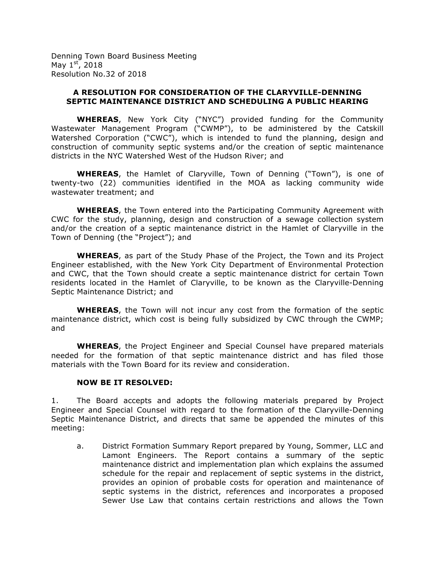Denning Town Board Business Meeting May  $1<sup>st</sup>$ , 2018 Resolution No.32 of 2018

## **A RESOLUTION FOR CONSIDERATION OF THE CLARYVILLE-DENNING SEPTIC MAINTENANCE DISTRICT AND SCHEDULING A PUBLIC HEARING**

**WHEREAS**, New York City ("NYC") provided funding for the Community Wastewater Management Program ("CWMP"), to be administered by the Catskill Watershed Corporation ("CWC"), which is intended to fund the planning, design and construction of community septic systems and/or the creation of septic maintenance districts in the NYC Watershed West of the Hudson River; and

**WHEREAS**, the Hamlet of Claryville, Town of Denning ("Town"), is one of twenty-two (22) communities identified in the MOA as lacking community wide wastewater treatment; and

**WHEREAS**, the Town entered into the Participating Community Agreement with CWC for the study, planning, design and construction of a sewage collection system and/or the creation of a septic maintenance district in the Hamlet of Claryville in the Town of Denning (the "Project"); and

**WHEREAS**, as part of the Study Phase of the Project, the Town and its Project Engineer established, with the New York City Department of Environmental Protection and CWC, that the Town should create a septic maintenance district for certain Town residents located in the Hamlet of Claryville, to be known as the Claryville-Denning Septic Maintenance District; and

**WHEREAS**, the Town will not incur any cost from the formation of the septic maintenance district, which cost is being fully subsidized by CWC through the CWMP; and

**WHEREAS**, the Project Engineer and Special Counsel have prepared materials needed for the formation of that septic maintenance district and has filed those materials with the Town Board for its review and consideration.

#### **NOW BE IT RESOLVED:**

1. The Board accepts and adopts the following materials prepared by Project Engineer and Special Counsel with regard to the formation of the Claryville-Denning Septic Maintenance District, and directs that same be appended the minutes of this meeting:

a. District Formation Summary Report prepared by Young, Sommer, LLC and Lamont Engineers. The Report contains a summary of the septic maintenance district and implementation plan which explains the assumed schedule for the repair and replacement of septic systems in the district, provides an opinion of probable costs for operation and maintenance of septic systems in the district, references and incorporates a proposed Sewer Use Law that contains certain restrictions and allows the Town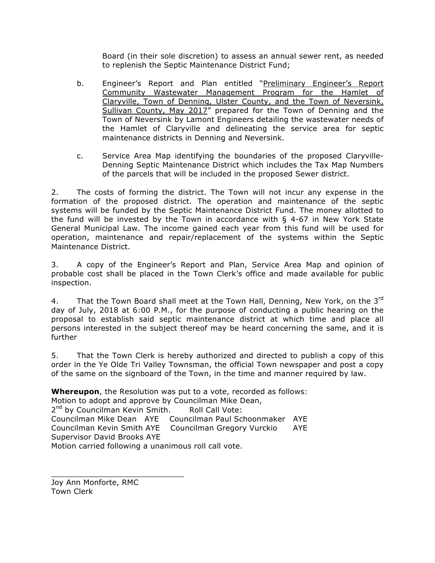Board (in their sole discretion) to assess an annual sewer rent, as needed to replenish the Septic Maintenance District Fund;

- b. Engineer's Report and Plan entitled "Preliminary Engineer's Report Community Wastewater Management Program for the Hamlet of Claryville, Town of Denning, Ulster County, and the Town of Neversink, Sullivan County, May 2017" prepared for the Town of Denning and the Town of Neversink by Lamont Engineers detailing the wastewater needs of the Hamlet of Claryville and delineating the service area for septic maintenance districts in Denning and Neversink.
- c. Service Area Map identifying the boundaries of the proposed Claryville-Denning Septic Maintenance District which includes the Tax Map Numbers of the parcels that will be included in the proposed Sewer district.

2. The costs of forming the district. The Town will not incur any expense in the formation of the proposed district. The operation and maintenance of the septic systems will be funded by the Septic Maintenance District Fund. The money allotted to the fund will be invested by the Town in accordance with § 4-67 in New York State General Municipal Law. The income gained each year from this fund will be used for operation, maintenance and repair/replacement of the systems within the Septic Maintenance District.

3. A copy of the Engineer's Report and Plan, Service Area Map and opinion of probable cost shall be placed in the Town Clerk's office and made available for public inspection.

4. That the Town Board shall meet at the Town Hall, Denning, New York, on the 3rd day of July, 2018 at 6:00 P.M., for the purpose of conducting a public hearing on the proposal to establish said septic maintenance district at which time and place all persons interested in the subject thereof may be heard concerning the same, and it is further

5. That the Town Clerk is hereby authorized and directed to publish a copy of this order in the Ye Olde Tri Valley Townsman, the official Town newspaper and post a copy of the same on the signboard of the Town, in the time and manner required by law.

**Whereupon**, the Resolution was put to a vote, recorded as follows: Motion to adopt and approve by Councilman Mike Dean, 2<sup>nd</sup> by Councilman Kevin Smith. Roll Call Vote: Councilman Mike Dean AYE Councilman Paul Schoonmaker AYE Councilman Kevin Smith AYE Councilman Gregory Vurckio AYE Supervisor David Brooks AYE Motion carried following a unanimous roll call vote.

Joy Ann Monforte, RMC Town Clerk

\_\_\_\_\_\_\_\_\_\_\_\_\_\_\_\_\_\_\_\_\_\_\_\_\_\_\_\_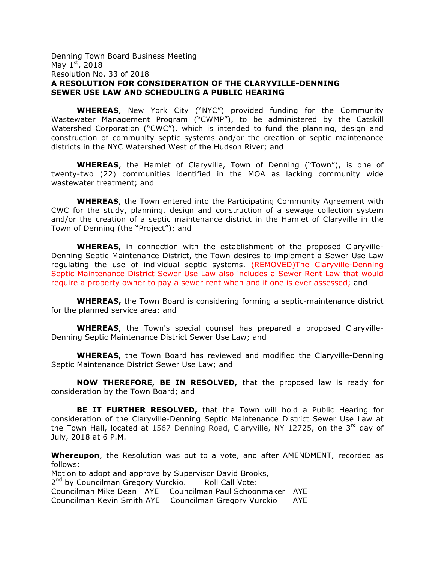#### Denning Town Board Business Meeting May  $1^{st}$ , 2018 Resolution No. 33 of 2018 **A RESOLUTION FOR CONSIDERATION OF THE CLARYVILLE-DENNING SEWER USE LAW AND SCHEDULING A PUBLIC HEARING**

**WHEREAS**, New York City ("NYC") provided funding for the Community Wastewater Management Program ("CWMP"), to be administered by the Catskill Watershed Corporation ("CWC"), which is intended to fund the planning, design and construction of community septic systems and/or the creation of septic maintenance districts in the NYC Watershed West of the Hudson River; and

**WHEREAS**, the Hamlet of Claryville, Town of Denning ("Town"), is one of twenty-two (22) communities identified in the MOA as lacking community wide wastewater treatment; and

**WHEREAS**, the Town entered into the Participating Community Agreement with CWC for the study, planning, design and construction of a sewage collection system and/or the creation of a septic maintenance district in the Hamlet of Claryville in the Town of Denning (the "Project"); and

**WHEREAS,** in connection with the establishment of the proposed Claryville-Denning Septic Maintenance District, the Town desires to implement a Sewer Use Law regulating the use of individual septic systems. (REMOVED)The Claryville-Denning Septic Maintenance District Sewer Use Law also includes a Sewer Rent Law that would require a property owner to pay a sewer rent when and if one is ever assessed; and

**WHEREAS,** the Town Board is considering forming a septic-maintenance district for the planned service area; and

**WHEREAS**, the Town's special counsel has prepared a proposed Claryville-Denning Septic Maintenance District Sewer Use Law; and

**WHEREAS,** the Town Board has reviewed and modified the Claryville-Denning Septic Maintenance District Sewer Use Law; and

**NOW THEREFORE, BE IN RESOLVED,** that the proposed law is ready for consideration by the Town Board; and

**BE IT FURTHER RESOLVED,** that the Town will hold a Public Hearing for consideration of the Claryville-Denning Septic Maintenance District Sewer Use Law at the Town Hall, located at 1567 Denning Road, Claryville, NY 12725, on the  $3^{rd}$  day of July, 2018 at 6 P.M.

**Whereupon**, the Resolution was put to a vote, and after AMENDMENT, recorded as follows:

Motion to adopt and approve by Supervisor David Brooks, 2<sup>nd</sup> by Councilman Gregory Vurckio. Roll Call Vote: Councilman Mike Dean AYE Councilman Paul Schoonmaker AYE Councilman Kevin Smith AYE Councilman Gregory Vurckio AYE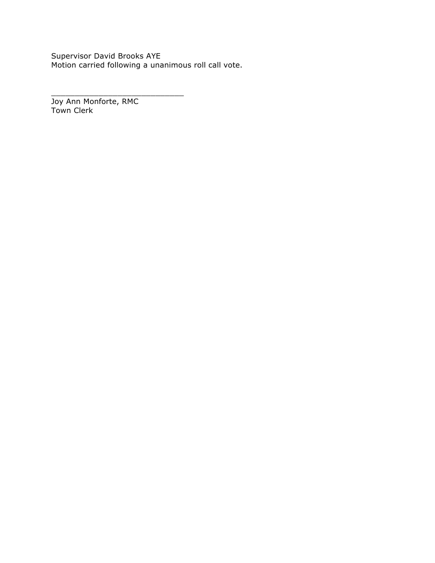Supervisor David Brooks AYE Motion carried following a unanimous roll call vote.

Joy Ann Monforte, RMC Town Clerk

\_\_\_\_\_\_\_\_\_\_\_\_\_\_\_\_\_\_\_\_\_\_\_\_\_\_\_\_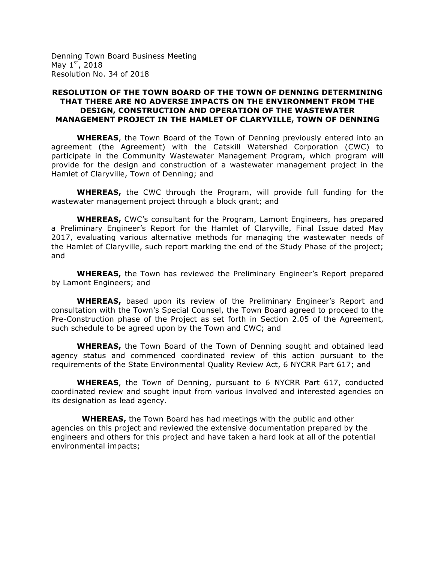Denning Town Board Business Meeting May  $1<sup>st</sup>$ , 2018 Resolution No. 34 of 2018

#### **RESOLUTION OF THE TOWN BOARD OF THE TOWN OF DENNING DETERMINING THAT THERE ARE NO ADVERSE IMPACTS ON THE ENVIRONMENT FROM THE DESIGN, CONSTRUCTION AND OPERATION OF THE WASTEWATER MANAGEMENT PROJECT IN THE HAMLET OF CLARYVILLE, TOWN OF DENNING**

**WHEREAS**, the Town Board of the Town of Denning previously entered into an agreement (the Agreement) with the Catskill Watershed Corporation (CWC) to participate in the Community Wastewater Management Program, which program will provide for the design and construction of a wastewater management project in the Hamlet of Claryville, Town of Denning; and

**WHEREAS,** the CWC through the Program, will provide full funding for the wastewater management project through a block grant; and

**WHEREAS,** CWC's consultant for the Program, Lamont Engineers, has prepared a Preliminary Engineer's Report for the Hamlet of Claryville, Final Issue dated May 2017, evaluating various alternative methods for managing the wastewater needs of the Hamlet of Claryville, such report marking the end of the Study Phase of the project; and

**WHEREAS,** the Town has reviewed the Preliminary Engineer's Report prepared by Lamont Engineers; and

**WHEREAS,** based upon its review of the Preliminary Engineer's Report and consultation with the Town's Special Counsel, the Town Board agreed to proceed to the Pre-Construction phase of the Project as set forth in Section 2.05 of the Agreement, such schedule to be agreed upon by the Town and CWC; and

**WHEREAS,** the Town Board of the Town of Denning sought and obtained lead agency status and commenced coordinated review of this action pursuant to the requirements of the State Environmental Quality Review Act, 6 NYCRR Part 617; and

**WHEREAS**, the Town of Denning, pursuant to 6 NYCRR Part 617, conducted coordinated review and sought input from various involved and interested agencies on its designation as lead agency.

 **WHEREAS,** the Town Board has had meetings with the public and other agencies on this project and reviewed the extensive documentation prepared by the engineers and others for this project and have taken a hard look at all of the potential environmental impacts;